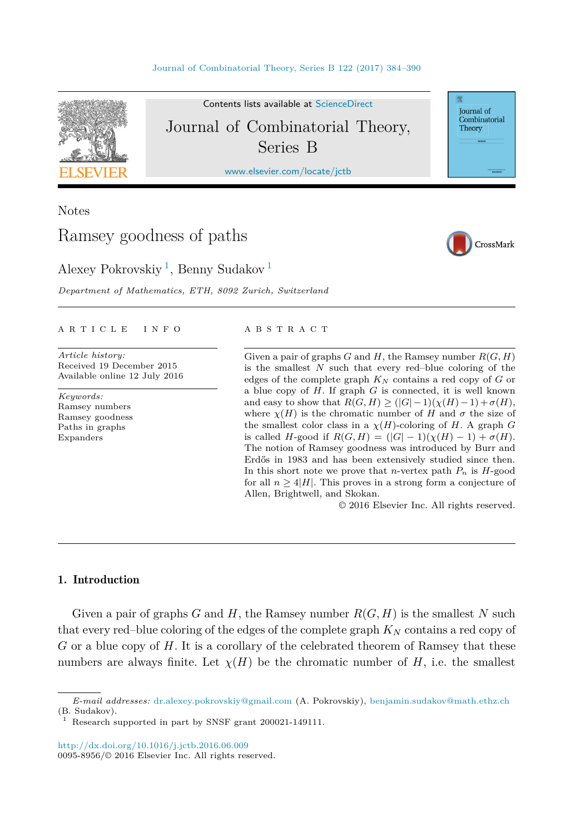

Contents lists available at [ScienceDirect](http://www.ScienceDirect.com/) Journal of Combinatorial Theory, Series B

[www.elsevier.com/locate/jctb](http://www.elsevier.com/locate/jctb)

Notes

# Ramsey goodness of paths

CrossMark

Journal of Combinatorial Theory

Alexey Pokrovskiy<sup>1</sup>, Benny Sudakov<sup>1</sup>

*Department of Mathematics, ETH, 8092 Zurich, Switzerland*

### A R T I C L E I N F O A B S T R A C T

*Article history:* Received 19 December 2015 Available online 12 July 2016

*Keywords:* Ramsey numbers Ramsey goodness Paths in graphs Expanders

Given a pair of graphs  $G$  and  $H$ , the Ramsey number  $R(G, H)$ is the smallest *N* such that every red–blue coloring of the edges of the complete graph *K<sup>N</sup>* contains a red copy of *G* or a blue copy of *H*. If graph *G* is connected, it is well known and easy to show that  $R(G, H) \geq (|G| - 1)(\chi(H) - 1) + \sigma(H)$ , where  $\chi(H)$  is the chromatic number of *H* and  $\sigma$  the size of the smallest color class in a  $\chi(H)$ -coloring of *H*. A graph *G* is called *H*-good if  $R(G, H) = (|G| - 1)(\chi(H) - 1) + \sigma(H)$ . The notion of Ramsey goodness was introduced by Burr and Erdős in 1983 and has been extensively studied since then. In this short note we prove that *n*-vertex path  $P_n$  is  $H$ -good for all  $n \geq 4|H|$ . This proves in a strong form a conjecture of Allen, Brightwell, and Skokan.

© 2016 Elsevier Inc. All rights reserved.

# 1. Introduction

Given a pair of graphs  $G$  and  $H$ , the Ramsey number  $R(G, H)$  is the smallest  $N$  such that every red–blue coloring of the edges of the complete graph  $K_N$  contains a red copy of *G* or a blue copy of *H*. It is a corollary of the celebrated theorem of Ramsey that these numbers are always finite. Let  $\chi(H)$  be the chromatic number of *H*, i.e. the smallest

*E-mail addresses:* [dr.alexey.pokrovskiy@gmail.com](mailto:dr.alexey.pokrovskiy@gmail.com) (A. Pokrovskiy), [benjamin.sudakov@math.ethz.ch](mailto:benjamin.sudakov@math.ethz.ch) (B. Sudakov).

Research supported in part by SNSF grant 200021-149111.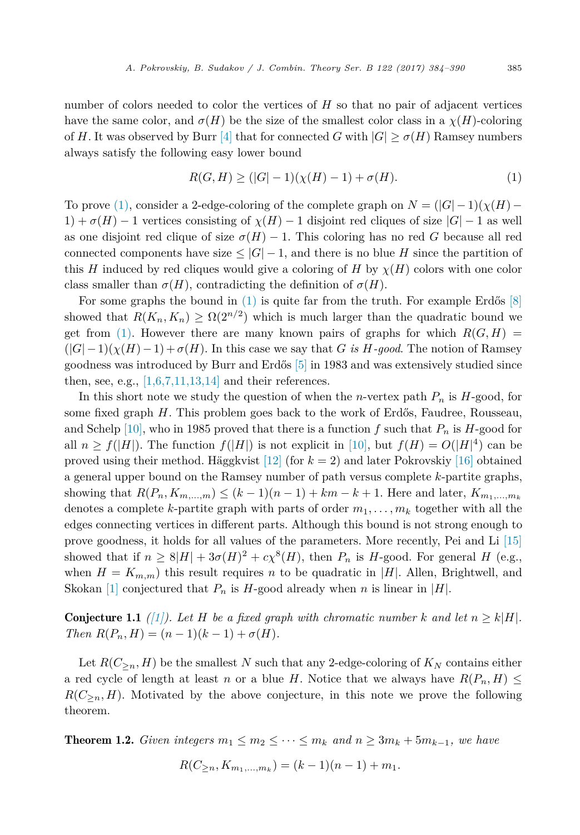<span id="page-1-0"></span>number of colors needed to color the vertices of *H* so that no pair of adjacent vertices have the same color, and  $\sigma(H)$  be the size of the smallest color class in a  $\chi(H)$ -coloring of *H*. It was observed by Burr [\[4\]](#page-5-0) that for connected *G* with  $|G| > \sigma(H)$  Ramsey numbers always satisfy the following easy lower bound

$$
R(G, H) \ge (|G| - 1)(\chi(H) - 1) + \sigma(H). \tag{1}
$$

To prove (1), consider a 2-edge-coloring of the complete graph on  $N = (|G| - 1)(\chi(H) -$ 1) +  $\sigma(H)$  − 1 vertices consisting of  $\chi(H)$  − 1 disjoint red cliques of size  $|G|$  − 1 as well as one disjoint red clique of size  $\sigma(H) - 1$ . This coloring has no red *G* because all red connected components have size  $\leq |G|-1$ , and there is no blue *H* since the partition of this *H* induced by red cliques would give a coloring of *H* by  $\chi$ (*H*) colors with one color class smaller than  $\sigma(H)$ , contradicting the definition of  $\sigma(H)$ .

For some graphs the bound in  $(1)$  is quite far from the truth. For example Erdős [\[8\]](#page-5-0) showed that  $R(K_n, K_n) \geq \Omega(2^{n/2})$  which is much larger than the quadratic bound we get from (1). However there are many known pairs of graphs for which  $R(G, H)$  $(|G|-1)(\chi(H)-1)+\sigma(H)$ . In this case we say that *G is H-good*. The notion of Ramsey goodness was introduced by Burr and Erdős [\[5\]](#page-5-0) in 1983 and was extensively studied since then, see, e.g.,  $[1,6,7,11,13,14]$  and their references.

In this short note we study the question of when the *n*-vertex path  $P_n$  is  $H$ -good, for some fixed graph *H*. This problem goes back to the work of Erdős, Faudree, Rousseau, and Schelp [\[10\],](#page-6-0) who in 1985 proved that there is a function f such that  $P_n$  is H-good for all  $n \ge f(|H|)$ . The function  $f(|H|)$  is not explicit in [\[10\],](#page-6-0) but  $f(H) = O(|H|^4)$  can be proved using their method. Häggkvist [\[12\]](#page-6-0) (for *k* = 2) and later Pokrovskiy [\[16\]](#page-6-0) obtained a general upper bound on the Ramsey number of path versus complete *k*-partite graphs, showing that  $R(P_n, K_{m,...,m}) \leq (k-1)(n-1) + km - k + 1$ . Here and later,  $K_{m_1,...,m_k}$ denotes a complete *k*-partite graph with parts of order  $m_1, \ldots, m_k$  together with all the edges connecting vertices in different parts. Although this bound is not strong enough to prove goodness, it holds for all values of the parameters. More recently, Pei and Li [\[15\]](#page-6-0) showed that if  $n \geq 8|H| + 3\sigma(H)^2 + c\chi^8(H)$ , then  $P_n$  is *H*-good. For general *H* (e.g., when  $H = K_{m,m}$ ) this result requires *n* to be quadratic in |*H*|. Allen, Brightwell, and Skokan [\[1\]](#page-5-0) conjectured that  $P_n$  is  $H$ -good already when *n* is linear in |*H*|.

**Conjecture 1.1** *[\(\[1\]\)](#page-5-0). Let H be a fixed graph with chromatic number k* and *let*  $n \geq k|H|$ *.*  $Then R(P_n, H) = (n - 1)(k - 1) + \sigma(H).$ 

Let  $R(C_{\geq n}, H)$  be the smallest N such that any 2-edge-coloring of  $K_N$  contains either a red cycle of length at least *n* or a blue *H*. Notice that we always have  $R(P_n, H) \leq$  $R(C_{\geq n}, H)$ . Motivated by the above conjecture, in this note we prove the following theorem.

**Theorem 1.2.** *Given integers*  $m_1 \leq m_2 \leq \cdots \leq m_k$  *and*  $n \geq 3m_k + 5m_{k-1}$ *, we have* 

$$
R(C_{\geq n}, K_{m_1,\dots,m_k}) = (k-1)(n-1) + m_1.
$$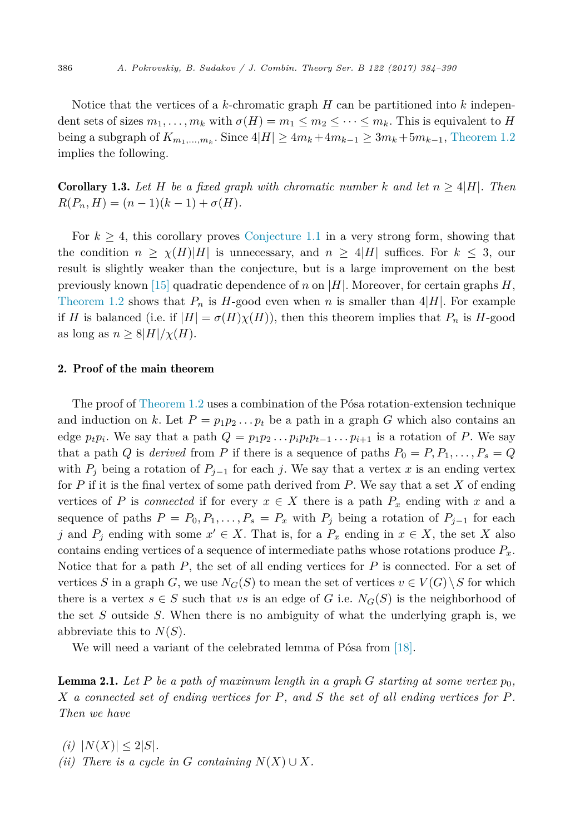<span id="page-2-0"></span>Notice that the vertices of a *k*-chromatic graph *H* can be partitioned into *k* independent sets of sizes  $m_1, \ldots, m_k$  with  $\sigma(H) = m_1 \leq m_2 \leq \cdots \leq m_k$ . This is equivalent to *H* being a subgraph of  $K_{m_1,\dots,m_k}$ . Since  $4|H| \geq 4m_k + 4m_{k-1} \geq 3m_k + 5m_{k-1}$ , [Theorem 1.2](#page-1-0) implies the following.

**Corollary 1.3.** Let H be a fixed graph with chromatic number k and let  $n \geq 4|H|$ . Then  $R(P_n, H) = (n - 1)(k - 1) + \sigma(H)$ .

For  $k \geq 4$ , this corollary proves [Conjecture 1.1](#page-1-0) in a very strong form, showing that the condition  $n \geq \chi(H)|H|$  is unnecessary, and  $n \geq 4|H|$  suffices. For  $k \leq 3$ , our result is slightly weaker than the conjecture, but is a large improvement on the best previously known [\[15\]](#page-6-0) quadratic dependence of *n* on |*H*|. Moreover, for certain graphs *H*, [Theorem 1.2](#page-1-0) shows that  $P_n$  is  $H$ -good even when  $n$  is smaller than  $4|H|$ . For example if *H* is balanced (i.e. if  $|H| = \sigma(H)\chi(H)$ ), then this theorem implies that  $P_n$  is *H*-good as long as  $n \geq 8|H|/\chi(H)$ .

# 2. Proof of the main theorem

The proof of [Theorem 1.2](#page-1-0) uses a combination of the Pósa rotation-extension technique and induction on k. Let  $P = p_1 p_2 \ldots p_t$  be a path in a graph G which also contains an edge  $p_t p_i$ . We say that a path  $Q = p_1 p_2 \dots p_i p_t p_{t-1} \dots p_{i+1}$  is a rotation of *P*. We say that a path *Q* is *derived* from *P* if there is a sequence of paths  $P_0 = P, P_1, \ldots, P_s = Q$ with  $P_j$  being a rotation of  $P_{j-1}$  for each *j*. We say that a vertex *x* is an ending vertex for *P* if it is the final vertex of some path derived from *P*. We say that a set *X* of ending vertices of *P* is *connected* if for every  $x \in X$  there is a path  $P_x$  ending with x and a sequence of paths  $P = P_0, P_1, \ldots, P_s = P_x$  with  $P_j$  being a rotation of  $P_{j-1}$  for each *j* and  $P_i$  ending with some  $x' \in X$ . That is, for a  $P_x$  ending in  $x \in X$ , the set X also contains ending vertices of a sequence of intermediate paths whose rotations produce *Px*. Notice that for a path *P*, the set of all ending vertices for *P* is connected. For a set of vertices *S* in a graph *G*, we use  $N_G(S)$  to mean the set of vertices  $v \in V(G) \setminus S$  for which there is a vertex  $s \in S$  such that *vs* is an edge of *G* i.e.  $N_G(S)$  is the neighborhood of the set *S* outside *S*. When there is no ambiguity of what the underlying graph is, we abbreviate this to  $N(S)$ .

We will need a variant of the celebrated lemma of Pósa from [\[18\].](#page-6-0)

Lemma 2.1. *Let P be a path of maximum length in a graph G starting at some vertex p*0*,* X a connected set of ending vertices for P, and S the set of all ending vertices for P. *Then we have*

 $(i)$   $|N(X)| \leq 2|S|$ . *(ii)* There *is a cycle in G containing*  $N(X) \cup X$ *.*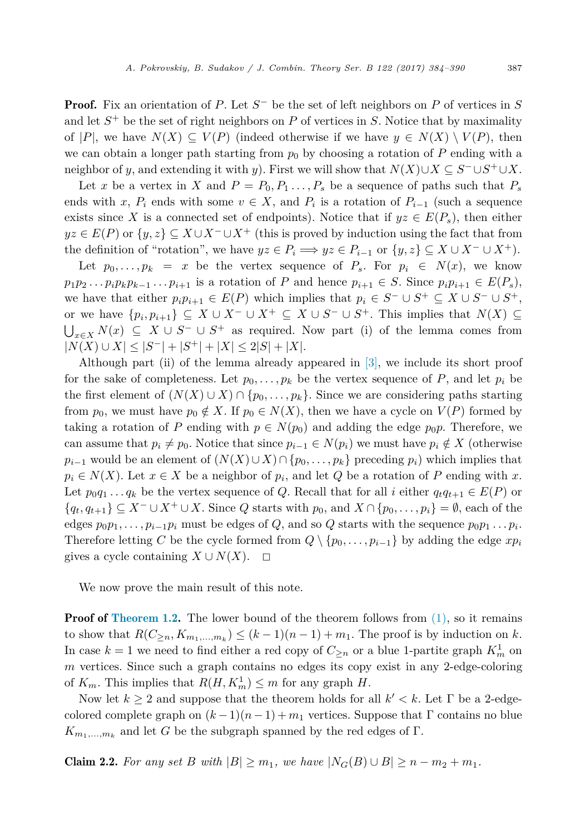<span id="page-3-0"></span>Proof. Fix an orientation of *P*. Let *S*<sup>−</sup> be the set of left neighbors on *P* of vertices in *S* and let *S*<sup>+</sup> be the set of right neighbors on *P* of vertices in *S*. Notice that by maximality of |P|, we have  $N(X) \subseteq V(P)$  (indeed otherwise if we have  $y \in N(X) \setminus V(P)$ , then we can obtain a longer path starting from  $p_0$  by choosing a rotation of  $P$  ending with a neighbor of *y*, and extending it with *y*). First we will show that  $N(X) \cup X \subseteq S^- \cup S^+ \cup X$ .

Let *x* be a vertex in *X* and  $P = P_0, P_1, \ldots, P_s$  be a sequence of paths such that  $P_s$ ends with *x*,  $P_i$  ends with some  $v \in X$ , and  $P_i$  is a rotation of  $P_{i-1}$  (such a sequence exists since X is a connected set of endpoints). Notice that if  $yz \in E(P_s)$ , then either  $yz \in E(P)$  or  $\{y, z\} \subseteq X \cup X^- \cup X^+$  (this is proved by induction using the fact that from the definition of "rotation", we have  $yz \in P_i \implies yz \in P_{i-1}$  or  $\{y, z\} \subseteq X \cup X^- \cup X^+$ ).

Let  $p_0, \ldots, p_k = x$  be the vertex sequence of  $P_s$ . For  $p_i \in N(x)$ , we know  $p_1p_2 \ldots p_i p_k p_{k-1} \ldots p_{i+1}$  is a rotation of P and hence  $p_{i+1} \in S$ . Since  $p_i p_{i+1} \in E(P_s)$ , we have that either  $p_i p_{i+1} \in E(P)$  which implies that  $p_i \in S^- \cup S^+ \subseteq X \cup S^- \cup S^+$ , or we have  $\{p_i, p_{i+1}\} \subseteq X \cup X^- \cup X^+ \subseteq X \cup S^- \cup S^+$ . This implies that  $N(X) \subseteq$  $\bigcup_{x\in X} N(x)$  ⊆ *X* ∪ *S*<sup>−</sup> ∪ *S*<sup>+</sup> as required. Now part (i) of the lemma comes from <sup>|</sup>*N*(*X*) <sup>∪</sup> *<sup>X</sup>*<sup>|</sup> ≤ |*S*<sup>−</sup><sup>|</sup> <sup>+</sup> <sup>|</sup>*S*<sup>+</sup><sup>|</sup> <sup>+</sup> <sup>|</sup>*X*<sup>|</sup> <sup>≤</sup> <sup>2</sup>|*S*<sup>|</sup> <sup>+</sup> <sup>|</sup>*X*|.

Although part (ii) of the lemma already appeared in [\[3\],](#page-5-0) we include its short proof for the sake of completeness. Let  $p_0, \ldots, p_k$  be the vertex sequence of  $P$ , and let  $p_i$  be the first element of  $(N(X) \cup X) \cap \{p_0, \ldots, p_k\}$ . Since we are considering paths starting from  $p_0$ , we must have  $p_0 \notin X$ . If  $p_0 \in N(X)$ , then we have a cycle on  $V(P)$  formed by taking a rotation of *P* ending with  $p \in N(p_0)$  and adding the edge  $p_0p$ . Therefore, we can assume that  $p_i \neq p_0$ . Notice that since  $p_{i-1} \in N(p_i)$  we must have  $p_i \notin X$  (otherwise *p*<sup>*i*</sup>−1</sub> would be an element of  $(N(X) \cup X) \cap \{p_0, \ldots, p_k\}$  preceding  $p_i$ ) which implies that  $p_i \in N(X)$ . Let  $x \in X$  be a neighbor of  $p_i$ , and let *Q* be a rotation of *P* ending with *x*. Let  $p_0q_1 \ldots q_k$  be the vertex sequence of *Q*. Recall that for all *i* either  $q_tq_{t+1} \in E(P)$  or  ${q_t, q_{t+1}} \subseteq X^- \cup X^+ \cup X$ . Since *Q* starts with  $p_0$ , and  $X \cap {p_0, \ldots, p_i} = \emptyset$ , each of the edges  $p_0p_1, \ldots, p_{i-1}p_i$  must be edges of *Q*, and so *Q* starts with the sequence  $p_0p_1 \ldots p_i$ . Therefore letting *C* be the cycle formed from  $Q \setminus \{p_0, \ldots, p_{i-1}\}\$  by adding the edge  $xp_i$ gives a cycle containing  $X \cup N(X)$ .  $\Box$ 

We now prove the main result of this note.

**Proof of [Theorem](#page-1-0) 1.2.** The lower bound of the theorem follows from  $(1)$ , so it remains to show that  $R(C_{\geq n}, K_{m_1,\dots,m_k}) \leq (k-1)(n-1) + m_1$ . The proof is by induction on *k*. In case  $k = 1$  we need to find either a red copy of  $C_{\geq n}$  or a blue 1-partite graph  $K_m^1$  on *m* vertices. Since such a graph contains no edges its copy exist in any 2-edge-coloring of  $K_m$ . This implies that  $R(H, K_m^1) \leq m$  for any graph *H*.

Now let  $k \geq 2$  and suppose that the theorem holds for all  $k' < k$ . Let  $\Gamma$  be a 2-edgecolored complete graph on  $(k-1)(n-1) + m_1$  vertices. Suppose that Γ contains no blue  $K_{m_1,\dots,m_k}$  and let *G* be the subgraph spanned by the red edges of Γ.

**Claim 2.2.** For any set B with  $|B| \ge m_1$ , we have  $|N_G(B) \cup B| \ge n - m_2 + m_1$ .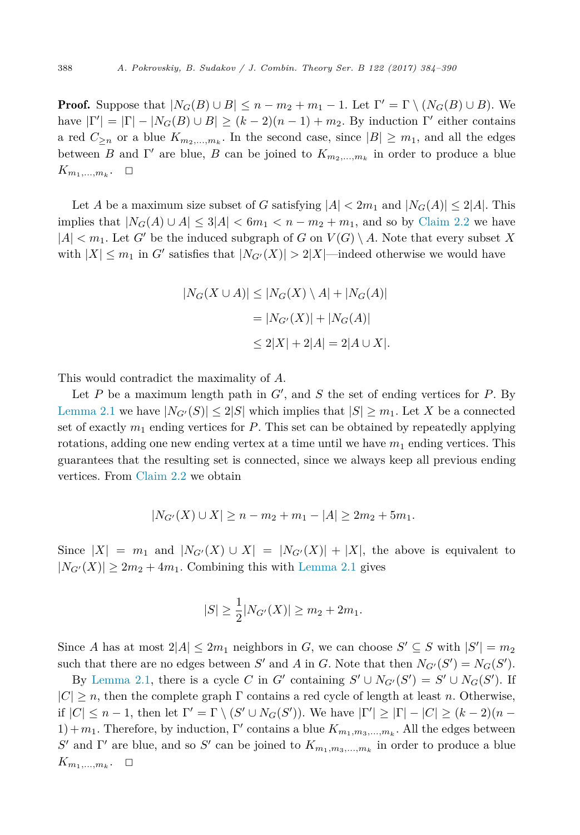**Proof.** Suppose that  $|N_G(B) \cup B| \leq n - m_2 + m_1 - 1$ . Let  $\Gamma' = \Gamma \setminus (N_G(B) \cup B)$ . We have  $|\Gamma'| = |\Gamma| - |N_G(B) \cup B| \ge (k-2)(n-1) + m_2$ . By induction  $\Gamma'$  either contains a red  $C_{\geq n}$  or a blue  $K_{m_2,...,m_k}$ . In the second case, since  $|B| \geq m_1$ , and all the edges between *B* and Γ' are blue, *B* can be joined to  $K_{m_2,...,m_k}$  in order to produce a blue  $K_{m_1,\ldots,m_k}$ .  $\Box$ 

Let *A* be a maximum size subset of *G* satisfying  $|A| < 2m_1$  and  $|N_G(A)| \leq 2|A|$ . This implies that  $|N_G(A) \cup A| \leq 3|A| < 6m_1 < n - m_2 + m_1$ , and so by [Claim 2.2](#page-3-0) we have  $|A| < m_1$ . Let *G'* be the induced subgraph of *G* on  $V(G) \setminus A$ . Note that every subset *X* with  $|X| \le m_1$  in *G'* satisfies that  $|N_{G'}(X)| > 2|X|$ —indeed otherwise we would have

$$
|N_G(X \cup A)| \le |N_G(X) \setminus A| + |N_G(A)|
$$
  
= 
$$
|N_{G'}(X)| + |N_G(A)|
$$
  

$$
\le 2|X| + 2|A| = 2|A \cup X|.
$$

This would contradict the maximality of *A*.

Let *P* be a maximum length path in *G* , and *S* the set of ending vertices for *P*. By [Lemma 2.1](#page-2-0) we have  $|N_{G'}(S)| \leq 2|S|$  which implies that  $|S| \geq m_1$ . Let X be a connected set of exactly  $m_1$  ending vertices for  $P$ . This set can be obtained by repeatedly applying rotations, adding one new ending vertex at a time until we have  $m_1$  ending vertices. This guarantees that the resulting set is connected, since we always keep all previous ending vertices. From [Claim 2.2](#page-3-0) we obtain

$$
|N_{G'}(X) \cup X| \ge n - m_2 + m_1 - |A| \ge 2m_2 + 5m_1.
$$

Since  $|X| = m_1$  and  $|N_{G'}(X) \cup X| = |N_{G'}(X)| + |X|$ , the above is equivalent to  $|N_{G'}(X)| \geq 2m_2 + 4m_1$ . Combining this with [Lemma 2.1](#page-2-0) gives

$$
|S| \ge \frac{1}{2}|N_{G'}(X)| \ge m_2 + 2m_1.
$$

Since *A* has at most  $2|A| \leq 2m_1$  neighbors in *G*, we can choose  $S' \subseteq S$  with  $|S'| = m_2$ such that there are no edges between *S'* and *A* in *G*. Note that then  $N_{G'}(S') = N_G(S')$ .

By [Lemma 2.1,](#page-2-0) there is a cycle *C* in *G*' containing  $S' \cup N_{G'}(S') = S' \cup N_G(S')$ . If  $|C| \geq n$ , then the complete graph  $\Gamma$  contains a red cycle of length at least *n*. Otherwise, if  $|C| \leq n-1$ , then let  $\Gamma' = \Gamma \setminus (S' \cup N_G(S'))$ . We have  $|\Gamma'| \geq |\Gamma| - |C| \geq (k-2)(n-1)$ 1) +  $m_1$ . Therefore, by induction, Γ' contains a blue  $K_{m_1,m_3,\dots,m_k}$ . All the edges between *S'* and Γ' are blue, and so *S'* can be joined to  $K_{m_1,m_3,...,m_k}$  in order to produce a blue  $K_{m_1,\ldots,m_k}$ .  $\Box$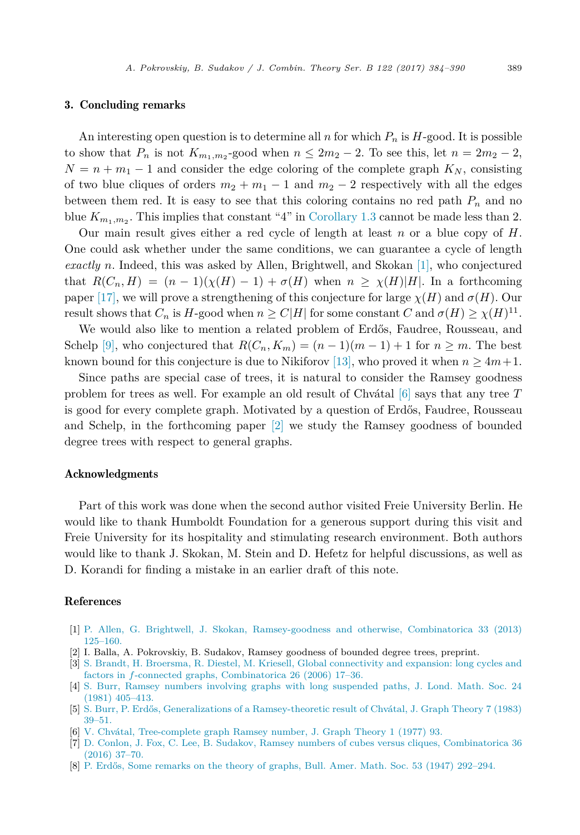### <span id="page-5-0"></span>3. Concluding remarks

An interesting open question is to determine all *n* for which  $P_n$  is  $H$ -good. It is possible to show that  $P_n$  is not  $K_{m_1,m_2}$ -good when  $n \leq 2m_2 - 2$ . To see this, let  $n = 2m_2 - 2$ ,  $N = n + m_1 - 1$  and consider the edge coloring of the complete graph  $K_N$ , consisting of two blue cliques of orders  $m_2 + m_1 - 1$  and  $m_2 - 2$  respectively with all the edges between them red. It is easy to see that this coloring contains no red path  $P_n$  and no blue  $K_{m_1,m_2}$ . This implies that constant "4" in [Corollary 1.3](#page-2-0) cannot be made less than 2.

Our main result gives either a red cycle of length at least *n* or a blue copy of *H*. One could ask whether under the same conditions, we can guarantee a cycle of length *exactly n*. Indeed, this was asked by Allen, Brightwell, and Skokan [1], who conjectured that  $R(C_n, H) = (n-1)(\chi(H) - 1) + \sigma(H)$  when  $n \geq \chi(H)|H|$ . In a forthcoming paper [\[17\],](#page-6-0) we will prove a strengthening of this conjecture for large  $\chi(H)$  and  $\sigma(H)$ . Our result shows that  $C_n$  is  $H$ -good when  $n \ge C|H|$  for some constant  $C$  and  $\sigma(H) \ge \chi(H)^{11}$ .

We would also like to mention a related problem of Erdős, Faudree, Rousseau, and Schelp [\[9\],](#page-6-0) who conjectured that  $R(C_n, K_m) = (n-1)(m-1) + 1$  for  $n \geq m$ . The best known bound for this conjecture is due to Nikiforov [\[13\],](#page-6-0) who proved it when  $n \geq 4m+1$ .

Since paths are special case of trees, it is natural to consider the Ramsey goodness problem for trees as well. For example an old result of Chvátal [6] says that any tree *T* is good for every complete graph. Motivated by a question of Erdős, Faudree, Rousseau and Schelp, in the forthcoming paper [2] we study the Ramsey goodness of bounded degree trees with respect to general graphs.

## Acknowledgments

Part of this work was done when the second author visited Freie University Berlin. He would like to thank Humboldt Foundation for a generous support during this visit and Freie University for its hospitality and stimulating research environment. Both authors would like to thank J. Skokan, M. Stein and D. Hefetz for helpful discussions, as well as D. Korandi for finding a mistake in an earlier draft of this note.

# References

- [1] P. Allen, G. Brightwell, J. Skokan, [Ramsey-goodness](http://refhub.elsevier.com/S0095-8956(16)30045-4/bib414253s1) and otherwise, Combinatorica 33 (2013) [125–160.](http://refhub.elsevier.com/S0095-8956(16)30045-4/bib414253s1)
- [2] I. Balla, A. Pokrovskiy, B. Sudakov, Ramsey goodness of bounded degree trees, preprint.
- [3] S. Brandt, H. Broersma, R. Diestel, M. Kriesell, Global [connectivity](http://refhub.elsevier.com/S0095-8956(16)30045-4/bib4242444Bs1) and expansion: long cycles and factors in *f*-connected graphs, [Combinatorica](http://refhub.elsevier.com/S0095-8956(16)30045-4/bib4242444Bs1) 26 (2006) 17–36.
- [4] S. Burr, Ramsey numbers involving graphs with long [suspended](http://refhub.elsevier.com/S0095-8956(16)30045-4/bib4275s1) paths, J. Lond. Math. Soc. 24 (1981) [405–413.](http://refhub.elsevier.com/S0095-8956(16)30045-4/bib4275s1)
- [5] S. Burr, P. Erdős, Generalizations of a [Ramsey-theoretic](http://refhub.elsevier.com/S0095-8956(16)30045-4/bib4245s1) result of Chvátal, J. Graph Theory 7 (1983) [39–51.](http://refhub.elsevier.com/S0095-8956(16)30045-4/bib4245s1)
- [6] V. Chvátal, [Tree-complete](http://refhub.elsevier.com/S0095-8956(16)30045-4/bib4368s1) graph Ramsey number, J. Graph Theory 1 (1977) 93.
- [7] D. Conlon, J. Fox, C. Lee, B. Sudakov, Ramsey numbers of cubes versus cliques, [Combinatorica](http://refhub.elsevier.com/S0095-8956(16)30045-4/bib43464C53s1) 36 [\(2016\)](http://refhub.elsevier.com/S0095-8956(16)30045-4/bib43464C53s1) 37–70.
- [8] P. Erdős, Some remarks on the theory of graphs, Bull. Amer. Math. Soc. 53 (1947) [292–294.](http://refhub.elsevier.com/S0095-8956(16)30045-4/bib4572646F7352616D736579s1)